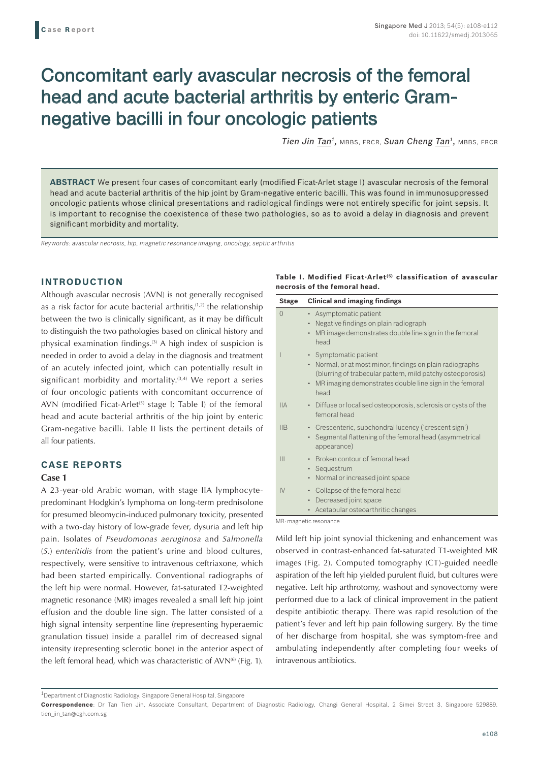# Concomitant early avascular necrosis of the femoral head and acute bacterial arthritis by enteric Gramnegative bacilli in four oncologic patients

*Tien Jin Tan1,* MBBS, FRCR, *Suan Cheng Tan1,* MBBS, FRCR

**ABSTRACT** We present four cases of concomitant early (modified Ficat-Arlet stage I) avascular necrosis of the femoral head and acute bacterial arthritis of the hip joint by Gram-negative enteric bacilli. This was found in immunosuppressed oncologic patients whose clinical presentations and radiological findings were not entirely specific for joint sepsis. It is important to recognise the coexistence of these two pathologies, so as to avoid a delay in diagnosis and prevent significant morbidity and mortality.

*Keywords: avascular necrosis, hip, magnetic resonance imaging, oncology, septic arthritis* 

## **INTRODUCTION**

Although avascular necrosis (AVN) is not generally recognised as a risk factor for acute bacterial arthritis,<sup>(1,2)</sup> the relationship between the two is clinically significant, as it may be difficult to distinguish the two pathologies based on clinical history and physical examination findings.(3) A high index of suspicion is needed in order to avoid a delay in the diagnosis and treatment of an acutely infected joint, which can potentially result in significant morbidity and mortality. $(3,4)$  We report a series of four oncologic patients with concomitant occurrence of AVN (modified Ficat-Arlet<sup> $(5)$ </sup> stage I; Table I) of the femoral head and acute bacterial arthritis of the hip joint by enteric Gram-negative bacilli. Table II lists the pertinent details of all four patients.

# **CASE REPORTS**

#### **Case 1**

A 23-year-old Arabic woman, with stage IIA lymphocytepredominant Hodgkin's lymphoma on long-term prednisolone for presumed bleomycin-induced pulmonary toxicity, presented with a two-day history of low-grade fever, dysuria and left hip pain. Isolates of *Pseudomonas aeruginosa* and *Salmonella* (*S*.) *enteritidis* from the patient's urine and blood cultures, respectively, were sensitive to intravenous ceftriaxone, which had been started empirically. Conventional radiographs of the left hip were normal. However, fat-saturated T2-weighted magnetic resonance (MR) images revealed a small left hip joint effusion and the double line sign. The latter consisted of a high signal intensity serpentine line (representing hyperaemic granulation tissue) inside a parallel rim of decreased signal intensity (representing sclerotic bone) in the anterior aspect of the left femoral head, which was characteristic of AVN<sup>(6)</sup> (Fig. 1).

## **Table I. Modified Ficat-Arlet (5) classification of avascular necrosis of the femoral head.**

| <b>Stage</b>   | <b>Clinical and imaging findings</b>                                                                                                                                                                                             |
|----------------|----------------------------------------------------------------------------------------------------------------------------------------------------------------------------------------------------------------------------------|
| $\Omega$       | • Asymptomatic patient<br>Negative findings on plain radiograph<br>MR image demonstrates double line sign in the femoral<br>$\bullet$<br>head                                                                                    |
|                | • Symptomatic patient<br>• Normal, or at most minor, findings on plain radiographs<br>(blurring of trabecular pattern, mild patchy osteoporosis)<br>MR imaging demonstrates double line sign in the femoral<br>$\bullet$<br>head |
| <b>IIA</b>     | • Diffuse or localised osteoporosis, sclerosis or cysts of the<br>femoral head                                                                                                                                                   |
| IIB            | • Crescenteric, subchondral lucency ('crescent sign')<br>• Segmental flattening of the femoral head (asymmetrical<br>appearance)                                                                                                 |
| $\mathbf{III}$ | Broken contour of femoral head<br>$\bullet$<br>• Sequestrum<br>Normal or increased joint space<br>$\bullet$                                                                                                                      |
| IV             | Collapse of the femoral head<br>$\bullet$<br>Decreased joint space<br>٠<br>Acetabular osteoarthritic changes<br>٠                                                                                                                |

MR: magnetic resonance

Mild left hip joint synovial thickening and enhancement was observed in contrast-enhanced fat-saturated T1-weighted MR images (Fig. 2). Computed tomography (CT)-guided needle aspiration of the left hip yielded purulent fluid, but cultures were negative. Left hip arthrotomy, washout and synovectomy were performed due to a lack of clinical improvement in the patient despite antibiotic therapy. There was rapid resolution of the patient's fever and left hip pain following surgery. By the time of her discharge from hospital, she was symptom-free and ambulating independently after completing four weeks of intravenous antibiotics.

<sup>&</sup>lt;sup>1</sup>Department of Diagnostic Radiology, Singapore General Hospital, Singapore

**Correspondence**: Dr Tan Tien Jin, Associate Consultant, Department of Diagnostic Radiology, Changi General Hospital, 2 Simei Street 3, Singapore 529889. tien\_jin\_tan@cgh.com.sg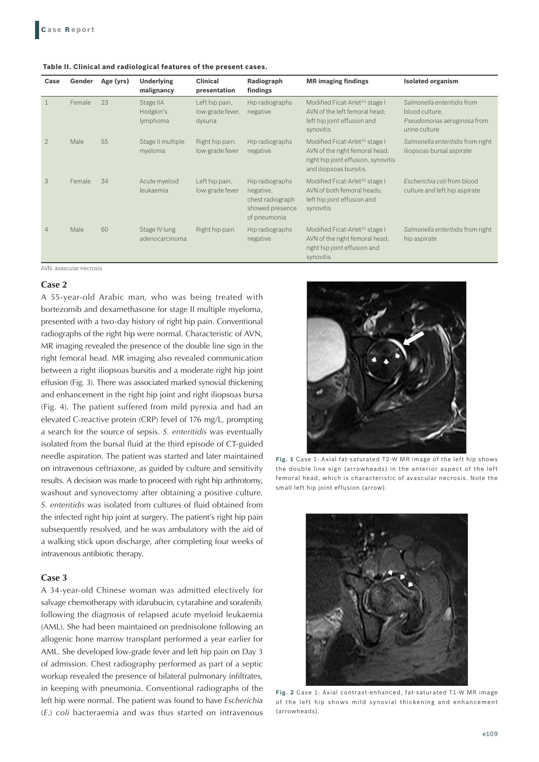| Table II. Clinical and radiological features of the present cases. |  |
|--------------------------------------------------------------------|--|
|--------------------------------------------------------------------|--|

| Case           | Gender | Age (yrs) | <b>Underlying</b><br>malignancy    | <b>Clinical</b><br>presentation               | Radiograph<br>findings                                                              | <b>MR</b> imaging findings                                                                                                                     | <b>Isolated organism</b>                                                                      |
|----------------|--------|-----------|------------------------------------|-----------------------------------------------|-------------------------------------------------------------------------------------|------------------------------------------------------------------------------------------------------------------------------------------------|-----------------------------------------------------------------------------------------------|
| $\overline{1}$ | Female | 23        | Stage IIA<br>Hodgkin's<br>lymphoma | Left hip pain,<br>low-grade fever,<br>dysuria | Hip radiographs<br>negative                                                         | Modified Ficat-Arlet <sup>(5)</sup> stage I<br>AVN of the left femoral head;<br>left hip joint effusion and<br>synovitis                       | Salmonella enteritidis from<br>blood culture.<br>Pseudomonas aeruginosa from<br>urine culture |
| $\mathfrak{D}$ | Male   | 55        | Stage II multiple<br>myeloma       | Right hip pain,<br>low-grade fever            | Hip radiographs<br>negative                                                         | Modified Ficat-Arlet <sup>(5)</sup> stage I<br>AVN of the right femoral head;<br>right hip joint effusion, synovitis<br>and iliopsoas bursitis | Salmonella enteritidis from right<br>iliopsoas bursal aspirate                                |
| 3              | Female | 34        | Acute myeloid<br>leukaemia         | Left hip pain,<br>low-grade fever             | Hip radiographs<br>negative,<br>chest radiograph<br>showed presence<br>of pneumonia | Modified Ficat-Arlet <sup>(5)</sup> stage I<br>AVN of both femoral heads:<br>left hip joint effusion and<br>synovitis                          | Escherichia coli from blood<br>culture and left hip aspirate                                  |
| 4              | Male   | 60        | Stage IV lung<br>adenocarcinoma    | Right hip pain                                | Hip radiographs<br>negative                                                         | Modified Ficat-Arlet <sup>(5)</sup> stage I<br>AVN of the right femoral head;<br>right hip joint effusion and<br>synovitis                     | Salmonella enteritidis from right<br>hip aspirate                                             |

AVN: avascular necrosis

#### **Case 2**

A 55-year-old Arabic man, who was being treated with bortezomib and dexamethasone for stage II multiple myeloma, presented with a two-day history of right hip pain. Conventional radiographs of the right hip were normal. Characteristic of AVN, MR imaging revealed the presence of the double line sign in the right femoral head. MR imaging also revealed communication between a right iliopsoas bursitis and a moderate right hip joint effusion (Fig. 3). There was associated marked synovial thickening and enhancement in the right hip joint and right iliopsoas bursa (Fig. 4). The patient suffered from mild pyrexia and had an elevated C-reactive protein (CRP) level of 176 mg/L, prompting a search for the source of sepsis. *S. enteritidis* was eventually isolated from the bursal fluid at the third episode of CT-guided needle aspiration. The patient was started and later maintained on intravenous ceftriaxone, as guided by culture and sensitivity results. A decision was made to proceed with right hip arthrotomy, washout and synovectomy after obtaining a positive culture. *S. enteritidis* was isolated from cultures of fluid obtained from the infected right hip joint at surgery. The patient's right hip pain subsequently resolved, and he was ambulatory with the aid of a walking stick upon discharge, after completing four weeks of intravenous antibiotic therapy.

## **Case 3**

A 34-year-old Chinese woman was admitted electively for salvage chemotherapy with idarubucin, cytarabine and sorafenib, following the diagnosis of relapsed acute myeloid leukaemia (AML). She had been maintained on prednisolone following an allogenic bone marrow transplant performed a year earlier for AML. She developed low-grade fever and left hip pain on Day 3 of admission. Chest radiography performed as part of a septic workup revealed the presence of bilateral pulmonary infiltrates, in keeping with pneumonia. Conventional radiographs of the left hip were normal. The patient was found to have *Escherichia* (*E*.) *coli* bacteraemia and was thus started on intravenous



**Fig. 1** Case 1: Axial fat-saturated T2-W MR image of the left hip shows the double line sign (arrowheads) in the anterior aspect of the left femoral head, which is characteristic of avascular necrosis. Note the small left hip joint effusion (arrow).



**Fig. 2** Case 1: Axial contrast-enhanced, fat-saturated T1-W MR image of the left hip shows mild synovial thickening and enhancement (arrowheads).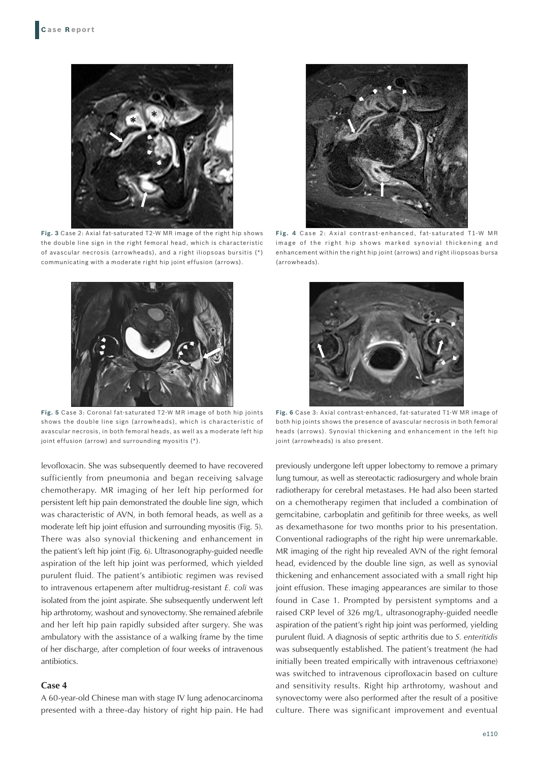

**Fig. 3** Case 2: Axial fat-saturated T2-W MR image of the right hip shows the double line sign in the right femoral head, which is characteristic of avascular necrosis (arrowheads), and a right iliopsoas bursitis (\*) communicating with a moderate right hip joint effusion (arrows).



**Fig. 5** Case 3: Coronal fat-saturated T2-W MR image of both hip joints shows the double line sign (arrowheads), which is characteristic of avascular necrosis, in both femoral heads, as well as a moderate left hip joint effusion (arrow) and surrounding myositis (\*).

levofloxacin. She was subsequently deemed to have recovered sufficiently from pneumonia and began receiving salvage chemotherapy. MR imaging of her left hip performed for persistent left hip pain demonstrated the double line sign, which was characteristic of AVN, in both femoral heads, as well as a moderate left hip joint effusion and surrounding myositis (Fig. 5). There was also synovial thickening and enhancement in the patient's left hip joint (Fig. 6). Ultrasonography-guided needle aspiration of the left hip joint was performed, which yielded purulent fluid. The patient's antibiotic regimen was revised to intravenous ertapenem after multidrug-resistant *E. coli* was isolated from the joint aspirate. She subsequently underwent left hip arthrotomy, washout and synovectomy. She remained afebrile and her left hip pain rapidly subsided after surgery. She was ambulatory with the assistance of a walking frame by the time of her discharge, after completion of four weeks of intravenous antibiotics.

#### **Case 4**

A 60-year-old Chinese man with stage IV lung adenocarcinoma presented with a three-day history of right hip pain. He had



**Fig. 4** Case 2: A xial contrast-enhanced, fat-saturated T1-W MR image of the right hip shows marked synovial thickening and enhancement within the right hip joint (arrows) and right iliopsoas bursa (arrowheads).



**Fig. 6** Case 3: Axial contrast-enhanced, fat-saturated T1-W MR image of both hip joints shows the presence of avascular necrosis in both femoral heads (arrows). Synovial thickening and enhancement in the left hip joint (arrowheads) is also present.

previously undergone left upper lobectomy to remove a primary lung tumour, as well as stereotactic radiosurgery and whole brain radiotherapy for cerebral metastases. He had also been started on a chemotherapy regimen that included a combination of gemcitabine, carboplatin and gefitinib for three weeks, as well as dexamethasone for two months prior to his presentation. Conventional radiographs of the right hip were unremarkable. MR imaging of the right hip revealed AVN of the right femoral head, evidenced by the double line sign, as well as synovial thickening and enhancement associated with a small right hip joint effusion. These imaging appearances are similar to those found in Case 1. Prompted by persistent symptoms and a raised CRP level of 326 mg/L, ultrasonography-guided needle aspiration of the patient's right hip joint was performed, yielding purulent fluid. A diagnosis of septic arthritis due to *S. enteritidis* was subsequently established. The patient's treatment (he had initially been treated empirically with intravenous ceftriaxone) was switched to intravenous ciprofloxacin based on culture and sensitivity results. Right hip arthrotomy, washout and synovectomy were also performed after the result of a positive culture. There was significant improvement and eventual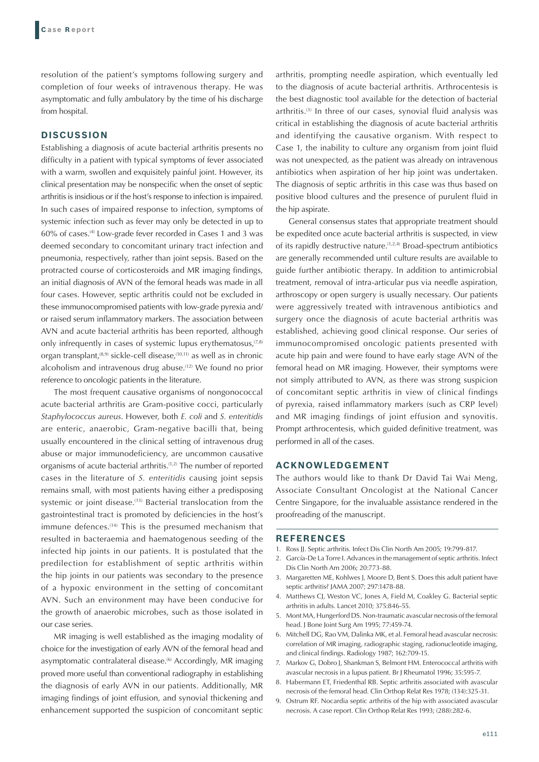resolution of the patient's symptoms following surgery and completion of four weeks of intravenous therapy. He was asymptomatic and fully ambulatory by the time of his discharge from hospital.

# **DISCUSSION**

Establishing a diagnosis of acute bacterial arthritis presents no difficulty in a patient with typical symptoms of fever associated with a warm, swollen and exquisitely painful joint. However, its clinical presentation may be nonspecific when the onset of septic arthritis is insidious or if the host's response to infection is impaired. In such cases of impaired response to infection, symptoms of systemic infection such as fever may only be detected in up to 60% of cases.(4) Low-grade fever recorded in Cases 1 and 3 was deemed secondary to concomitant urinary tract infection and pneumonia, respectively, rather than joint sepsis. Based on the protracted course of corticosteroids and MR imaging findings, an initial diagnosis of AVN of the femoral heads was made in all four cases. However, septic arthritis could not be excluded in these immunocompromised patients with low-grade pyrexia and/ or raised serum inflammatory markers. The association between AVN and acute bacterial arthritis has been reported, although only infrequently in cases of systemic lupus erythematosus, $(7,8)$ organ transplant,<sup> $(8,9)$ </sup> sickle-cell disease, $(10,11)$  as well as in chronic alcoholism and intravenous drug abuse.(12) We found no prior reference to oncologic patients in the literature.

The most frequent causative organisms of nongonococcal acute bacterial arthritis are Gram-positive cocci, particularly *Staphylococcus aureus*. However, both *E. coli* and *S. enteritidis* are enteric, anaerobic, Gram-negative bacilli that, being usually encountered in the clinical setting of intravenous drug abuse or major immunodeficiency, are uncommon causative organisms of acute bacterial arthritis.(1,2) The number of reported cases in the literature of *S. enteritidis* causing joint sepsis remains small, with most patients having either a predisposing systemic or joint disease.<sup>(13)</sup> Bacterial translocation from the gastrointestinal tract is promoted by deficiencies in the host's immune defences.<sup>(14)</sup> This is the presumed mechanism that resulted in bacteraemia and haematogenous seeding of the infected hip joints in our patients. It is postulated that the predilection for establishment of septic arthritis within the hip joints in our patients was secondary to the presence of a hypoxic environment in the setting of concomitant AVN. Such an environment may have been conducive for the growth of anaerobic microbes, such as those isolated in our case series.

MR imaging is well established as the imaging modality of choice for the investigation of early AVN of the femoral head and asymptomatic contralateral disease.<sup>(6)</sup> Accordingly, MR imaging proved more useful than conventional radiography in establishing the diagnosis of early AVN in our patients. Additionally, MR imaging findings of joint effusion, and synovial thickening and enhancement supported the suspicion of concomitant septic arthritis, prompting needle aspiration, which eventually led to the diagnosis of acute bacterial arthritis. Arthrocentesis is the best diagnostic tool available for the detection of bacterial arthritis.<sup>(3)</sup> In three of our cases, synovial fluid analysis was critical in establishing the diagnosis of acute bacterial arthritis and identifying the causative organism. With respect to Case 1, the inability to culture any organism from joint fluid was not unexpected, as the patient was already on intravenous antibiotics when aspiration of her hip joint was undertaken. The diagnosis of septic arthritis in this case was thus based on positive blood cultures and the presence of purulent fluid in the hip aspirate.

General consensus states that appropriate treatment should be expedited once acute bacterial arthritis is suspected, in view of its rapidly destructive nature.<sup>(1,2,4)</sup> Broad-spectrum antibiotics are generally recommended until culture results are available to guide further antibiotic therapy. In addition to antimicrobial treatment, removal of intra-articular pus via needle aspiration, arthroscopy or open surgery is usually necessary. Our patients were aggressively treated with intravenous antibiotics and surgery once the diagnosis of acute bacterial arthritis was established, achieving good clinical response. Our series of immunocompromised oncologic patients presented with acute hip pain and were found to have early stage AVN of the femoral head on MR imaging. However, their symptoms were not simply attributed to AVN, as there was strong suspicion of concomitant septic arthritis in view of clinical findings of pyrexia, raised inflammatory markers (such as CRP level) and MR imaging findings of joint effusion and synovitis. Prompt arthrocentesis, which guided definitive treatment, was performed in all of the cases.

## **ACKNOWLEDGEMENT**

The authors would like to thank Dr David Tai Wai Meng, Associate Consultant Oncologist at the National Cancer Centre Singapore, for the invaluable assistance rendered in the proofreading of the manuscript.

## **REFERENCES**

- 1. Ross JJ. Septic arthritis. Infect Dis Clin North Am 2005; 19:799-817.
- 2. García-De La Torre I. Advances in the management of septic arthritis. Infect Dis Clin North Am 2006; 20:773-88.
- 3. Margaretten ME, Kohlwes J, Moore D, Bent S. Does this adult patient have septic arthritis? JAMA 2007; 297:1478-88.
- 4. Matthews CJ, Weston VC, Jones A, Field M, Coakley G. Bacterial septic arthritis in adults. Lancet 2010; 375:846-55.
- 5. Mont MA, Hungerford DS. Non-traumatic avascular necrosis of the femoral head. J Bone Joint Surg Am 1995; 77:459-74.
- 6. Mitchell DG, Rao VM, Dalinka MK, et al. Femoral head avascular necrosis: correlation of MR imaging, radiographic staging, radionucleotide imaging, and clinical findings. Radiology 1987; 162:709-15.
- 7. Markov G, Dobro J, Shankman S, Belmont HM. Enterococcal arthritis with avascular necrosis in a lupus patient. Br J Rheumatol 1996; 35:595-7.
- 8. Habermann ET, Friedenthal RB. Septic arthritis associated with avascular necrosis of the femoral head. Clin Orthop Relat Res 1978; (134):325-31.
- 9. Ostrum RF. Nocardia septic arthritis of the hip with associated avascular necrosis. A case report. Clin Orthop Relat Res 1993; (288):282-6.